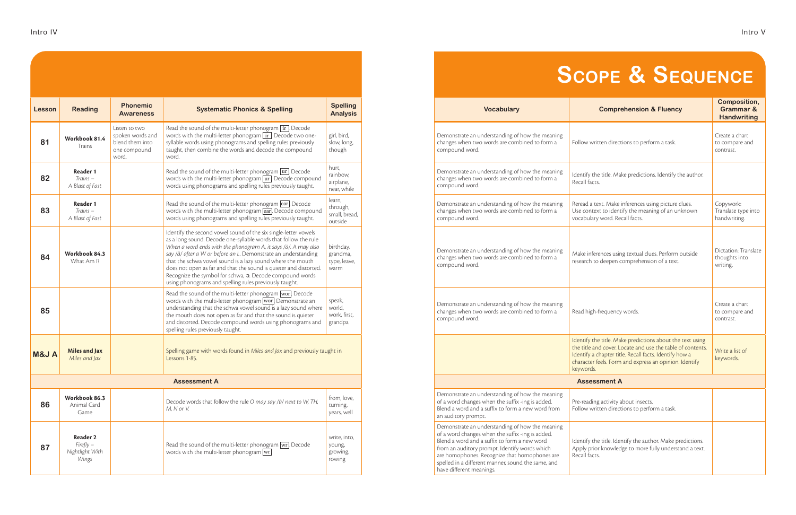| Lesson              | <b>Reading</b>                                      | <b>Phonemic</b><br><b>Awareness</b>                                           | <b>Systematic Phonics &amp; Spelling</b>                                                                                                                                                                                                                                                                                                                                                                                                                                                                                        | <b>Spelling</b><br><b>Analysis</b>             |  |  |  |  |
|---------------------|-----------------------------------------------------|-------------------------------------------------------------------------------|---------------------------------------------------------------------------------------------------------------------------------------------------------------------------------------------------------------------------------------------------------------------------------------------------------------------------------------------------------------------------------------------------------------------------------------------------------------------------------------------------------------------------------|------------------------------------------------|--|--|--|--|
| 81                  | Workbook 81.4<br><b>Trains</b>                      | Listen to two<br>spoken words and<br>blend them into<br>one compound<br>word. | Read the sound of the multi-letter phonogram $\overline{\text{ir}}$ . Decode<br>words with the multi-letter phonogram [ir]. Decode two one-<br>syllable words using phonograms and spelling rules previously<br>taught, then combine the words and decode the compound<br>word.                                                                                                                                                                                                                                                 | girl, bird,<br>slow, long,<br>though           |  |  |  |  |
| 82                  | Reader 1<br>$Trains -$<br>A Blast of Fast           |                                                                               | Read the sound of the multi-letter phonogram $\overline{ur}$ . Decode<br>words with the multi-letter phonogram $\overline{ur}$ . Decode compound<br>words using phonograms and spelling rules previously taught.                                                                                                                                                                                                                                                                                                                | hurt,<br>rainbow,<br>airplane,<br>near, while  |  |  |  |  |
| 83                  | Reader 1<br>$Trains -$<br>A Blast of Fast           |                                                                               | Read the sound of the multi-letter phonogram ear. Decode<br>words with the multi-letter phonogram ear. Decode compound<br>words using phonograms and spelling rules previously taught.                                                                                                                                                                                                                                                                                                                                          | learn,<br>through,<br>small, bread,<br>outside |  |  |  |  |
| 84                  | Workbook 84.3<br>What Am I?                         |                                                                               | Identify the second vowel sound of the six single-letter vowels<br>as a long sound. Decode one-syllable words that follow the rule<br>When a word ends with the phonogram A, it says /ä/. A may also<br>say /ä/ after a W or before an L. Demonstrate an understanding<br>that the schwa vowel sound is a lazy sound where the mouth<br>does not open as far and that the sound is quieter and distorted.<br>Recognize the symbol for schwa, a. Decode compound words<br>using phonograms and spelling rules previously taught. | birthday,<br>grandma,<br>type, leave,<br>warm  |  |  |  |  |
| 85                  |                                                     |                                                                               | Read the sound of the multi-letter phonogram wor! Decode<br>words with the multi-letter phonogram worl. Demonstrate an<br>understanding that the schwa vowel sound is a lazy sound where<br>the mouth does not open as far and that the sound is quieter<br>and distorted. Decode compound words using phonograms and<br>spelling rules previously taught.                                                                                                                                                                      | speak,<br>world,<br>work, first,<br>grandpa    |  |  |  |  |
| <b>M&amp;JA</b>     | <b>Miles and Jax</b><br>Miles and Jax               |                                                                               | Spelling game with words found in Miles and Jax and previously taught in<br>Lessons 1-85.                                                                                                                                                                                                                                                                                                                                                                                                                                       |                                                |  |  |  |  |
| <b>Assessment A</b> |                                                     |                                                                               |                                                                                                                                                                                                                                                                                                                                                                                                                                                                                                                                 |                                                |  |  |  |  |
| 86                  | Workbook 86.3<br>Animal Card<br>Game                |                                                                               | Decode words that follow the rule O may say /ŭ/ next to W, TH,<br>M, N or V.                                                                                                                                                                                                                                                                                                                                                                                                                                                    | from, love,<br>turning,<br>years, well         |  |  |  |  |
| 87                  | Reader 2<br>$Firefly -$<br>Nightlight With<br>Wings |                                                                               | Read the sound of the multi-letter phonogram $ \text{wr} $ . Decode<br>words with the multi-letter phonogram $\overline{wr}$ .                                                                                                                                                                                                                                                                                                                                                                                                  | write, into,<br>young,<br>growing,<br>rowing   |  |  |  |  |

| <b>Spelling</b><br><b>Systematic Phonics &amp; Spelling</b><br><b>Analysis</b>                                                                                                                                                                                                                                                                                                                                                                                                                             |                                                | <b>Vocabulary</b>                                                                                                                                                                                                                                                                                                                       | <b>Comprehension &amp; Fluency</b>                                                                                                                                                                                                                       | <b>Composition,</b><br><b>Grammar &amp;</b><br><b>Handwriting</b> |
|------------------------------------------------------------------------------------------------------------------------------------------------------------------------------------------------------------------------------------------------------------------------------------------------------------------------------------------------------------------------------------------------------------------------------------------------------------------------------------------------------------|------------------------------------------------|-----------------------------------------------------------------------------------------------------------------------------------------------------------------------------------------------------------------------------------------------------------------------------------------------------------------------------------------|----------------------------------------------------------------------------------------------------------------------------------------------------------------------------------------------------------------------------------------------------------|-------------------------------------------------------------------|
| ad the sound of the multi-letter phonogram ir Decode<br>rds with the multi-letter phonogram ir. Decode two one-<br>able words using phonograms and spelling rules previously<br>ght, then combine the words and decode the compound                                                                                                                                                                                                                                                                        | girl, bird,<br>slow, long,<br>though           | Demonstrate an understanding of how the meaning<br>changes when two words are combined to form a<br>compound word.                                                                                                                                                                                                                      | Follow written directions to perform a task.                                                                                                                                                                                                             | Create a chart<br>to compare and<br>contrast.                     |
| ad the sound of the multi-letter phonogram ur Decode<br>rds with the multi-letter phonogram ur Decode compound<br>rds using phonograms and spelling rules previously taught.                                                                                                                                                                                                                                                                                                                               | hurt,<br>rainbow,<br>airplane,<br>near, while  | Demonstrate an understanding of how the meaning<br>changes when two words are combined to form a<br>compound word.                                                                                                                                                                                                                      | Identify the title. Make predictions. Identify the author.<br>Recall facts.                                                                                                                                                                              |                                                                   |
| ad the sound of the multi-letter phonogram ear. Decode<br>rds with the multi-letter phonogram ear. Decode compound<br>rds using phonograms and spelling rules previously taught.                                                                                                                                                                                                                                                                                                                           | learn,<br>through,<br>small, bread,<br>outside | Demonstrate an understanding of how the meaning<br>changes when two words are combined to form a<br>compound word.                                                                                                                                                                                                                      | Reread a text. Make inferences using picture clues.<br>Use context to identify the meaning of an unknown<br>vocabulary word. Recall facts.                                                                                                               | Copywork:<br>Translate type into<br>handwriting.                  |
| ntify the second vowel sound of the six single-letter vowels<br>a long sound. Decode one-syllable words that follow the rule<br>ien a word ends with the phonogram A, it says /ä/. A may also<br>/ä/ after a W or before an L. Demonstrate an understanding<br>t the schwa vowel sound is a lazy sound where the mouth<br>es not open as far and that the sound is quieter and distorted.<br>cognize the symbol for schwa, a. Decode compound words<br>ng phonograms and spelling rules previously taught. | birthday,<br>grandma,<br>type, leave,<br>warm  | Demonstrate an understanding of how the meaning<br>changes when two words are combined to form a<br>compound word.                                                                                                                                                                                                                      | Make inferences using textual clues. Perform outside<br>research to deepen comprehension of a text.                                                                                                                                                      | Dictation: Translate<br>thoughts into<br>writing.                 |
| ad the sound of the multi-letter phonogram wor Decode<br>rds with the multi-letter phonogram wor. Demonstrate an<br>derstanding that the schwa vowel sound is a lazy sound where<br>mouth does not open as far and that the sound is quieter<br>d distorted. Decode compound words using phonograms and<br>lling rules previously taught.                                                                                                                                                                  | speak,<br>world,<br>work, first,<br>grandpa    | Demonstrate an understanding of how the meaning<br>changes when two words are combined to form a<br>compound word.                                                                                                                                                                                                                      | Read high-frequency words.                                                                                                                                                                                                                               | Create a chart<br>to compare and<br>contrast.                     |
| elling game with words found in Miles and Jax and previously taught in<br>sons 1-85.                                                                                                                                                                                                                                                                                                                                                                                                                       |                                                |                                                                                                                                                                                                                                                                                                                                         | Identify the title. Make predictions about the text using<br>the title and cover. Locate and use the table of contents.<br>Identify a chapter title. Recall facts. Identify how a<br>character feels. Form and express an opinion. Identify<br>keywords. | Write a list of<br>keywords.                                      |
| <b>Assessment A</b>                                                                                                                                                                                                                                                                                                                                                                                                                                                                                        |                                                |                                                                                                                                                                                                                                                                                                                                         | <b>Assessment A</b>                                                                                                                                                                                                                                      |                                                                   |
| code words that follow the rule O may say /ŭ/ next to W, TH,<br>N or V.                                                                                                                                                                                                                                                                                                                                                                                                                                    | from, love,<br>turning,<br>years, well         | Demonstrate an understanding of how the meaning<br>of a word changes when the suffix -ing is added.<br>Blend a word and a suffix to form a new word from<br>an auditory prompt.                                                                                                                                                         | Pre-reading activity about insects.<br>Follow written directions to perform a task.                                                                                                                                                                      |                                                                   |
| ad the sound of the multi-letter phonogram $\overline{ \textsf{wr} }$ Decode<br>rds with the multi-letter phonogram $\overline{wr}$ .                                                                                                                                                                                                                                                                                                                                                                      | write, into,<br>young,<br>growing,<br>rowing   | Demonstrate an understanding of how the meaning<br>of a word changes when the suffix -ing is added.<br>Blend a word and a suffix to form a new word<br>from an auditory prompt. Identify words which<br>are homophones. Recognize that homophones are<br>spelled in a different manner, sound the same, and<br>have different meanings. | Identify the title. Identify the author. Make predictions.<br>Apply prior knowledge to more fully understand a text.<br>Recall facts.                                                                                                                    |                                                                   |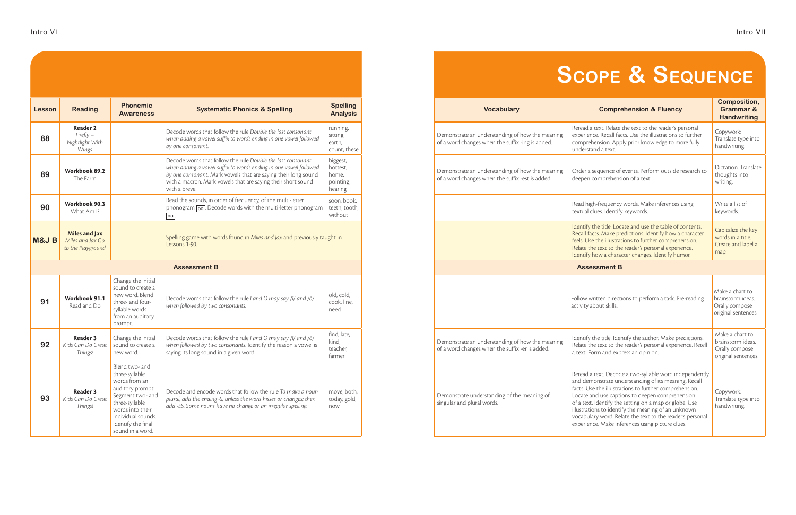| Lesson          | <b>Reading</b>                                                | <b>Phonemic</b><br><b>Awareness</b>                                                                                                                                                             | <b>Systematic Phonics &amp; Spelling</b>                                                                                                                                                                                                                                           | <b>Spelling</b><br><b>Analysis</b>                    |
|-----------------|---------------------------------------------------------------|-------------------------------------------------------------------------------------------------------------------------------------------------------------------------------------------------|------------------------------------------------------------------------------------------------------------------------------------------------------------------------------------------------------------------------------------------------------------------------------------|-------------------------------------------------------|
| 88              | <b>Reader 2</b><br>$Firefly -$<br>Nightlight With<br>Wings    |                                                                                                                                                                                                 | Decode words that follow the rule Double the last consonant<br>when adding a vowel suffix to words ending in one vowel followed<br>by one consonant.                                                                                                                               | running,<br>sitting,<br>earth,<br>count, these        |
| 89              | Workbook 89.2<br>The Farm                                     |                                                                                                                                                                                                 | Decode words that follow the rule Double the last consonant<br>when adding a vowel suffix to words ending in one vowel followed<br>by one consonant. Mark vowels that are saying their long sound<br>with a macron. Mark vowels that are saying their short sound<br>with a breve. | biggest,<br>hottest,<br>home,<br>pointing,<br>hearing |
| 90              | Workbook 90.3<br>What Am I?                                   |                                                                                                                                                                                                 | Read the sounds, in order of frequency, of the multi-letter<br>phonogram oo. Decode words with the multi-letter phonogram<br> oo                                                                                                                                                   | soon, book,<br>teeth, tooth,<br>without               |
| <b>M&amp;JB</b> | <b>Miles and Jax</b><br>Miles and Jax Go<br>to the Playground |                                                                                                                                                                                                 | Spelling game with words found in Miles and Jax and previously taught in<br>Lessons 1-90.                                                                                                                                                                                          |                                                       |
|                 |                                                               |                                                                                                                                                                                                 | <b>Assessment B</b>                                                                                                                                                                                                                                                                |                                                       |
| 91              | Workbook 91.1<br>Read and Do                                  | Change the initial<br>sound to create a<br>new word. Blend<br>three- and four-<br>syllable words<br>from an auditory<br>prompt.                                                                 | Decode words that follow the rule I and O may say /ī/ and /ō/<br>when followed by two consonants.                                                                                                                                                                                  | old, cold,<br>cook, line,<br>need                     |
| 92              | <b>Reader 3</b><br>Kids Can Do Great<br>Things!               | Change the initial<br>sound to create a<br>new word.                                                                                                                                            | Decode words that follow the rule I and O may say /ī/ and /õ/<br>when followed by two consonants. Identify the reason a vowel is<br>saying its long sound in a given word.                                                                                                         | find, late,<br>kind,<br>teacher,<br>farmer            |
| 93              | Reader 3<br>Kids Can Do Great<br>Things!                      | Blend two- and<br>three-syllable<br>words from an<br>auditory prompt.<br>Segment two- and<br>three-syllable<br>words into their<br>individual sounds.<br>Identify the final<br>sound in a word. | Decode and encode words that follow the rule To make a noun<br>plural, add the ending -S, unless the word hisses or changes; then<br>add -ES. Some nouns have no change or an irregular spelling.                                                                                  | move, both,<br>today, gold,<br>now                    |

| <b>Spelling</b><br><b>Analysis</b>                 | <b>Vocabulary</b>                                                                                   | <b>Comprehension &amp; Fluency</b>                                                                                                                                                                                                                                                                                                                                                                                                                             | <b>Composition,</b><br><b>Grammar &amp;</b><br><b>Handwriting</b>             |
|----------------------------------------------------|-----------------------------------------------------------------------------------------------------|----------------------------------------------------------------------------------------------------------------------------------------------------------------------------------------------------------------------------------------------------------------------------------------------------------------------------------------------------------------------------------------------------------------------------------------------------------------|-------------------------------------------------------------------------------|
| unning,<br>itting,<br>earth,<br>ount, these        | Demonstrate an understanding of how the meaning<br>of a word changes when the suffix -ing is added. | Reread a text. Relate the text to the reader's personal<br>experience. Recall facts. Use the illustrations to further<br>comprehension. Apply prior knowledge to more fully<br>understand a text.                                                                                                                                                                                                                                                              | Copywork:<br>Translate type into<br>handwriting.                              |
| piggest,<br>ottest,<br>ome,<br>pointing,<br>earing | Demonstrate an understanding of how the meaning<br>of a word changes when the suffix -est is added. | Order a sequence of events. Perform outside research to<br>deepen comprehension of a text.                                                                                                                                                                                                                                                                                                                                                                     | Dictation: Translate<br>thoughts into<br>writing.                             |
| oon, book,<br>eeth, tooth,<br>vithout              |                                                                                                     | Read high-frequency words. Make inferences using<br>textual clues. Identify keywords.                                                                                                                                                                                                                                                                                                                                                                          | Write a list of<br>keywords.                                                  |
| ht in                                              |                                                                                                     | Identify the title. Locate and use the table of contents.<br>Recall facts. Make predictions. Identify how a character<br>feels. Use the illustrations to further comprehension.<br>Relate the text to the reader's personal experience.<br>Identify how a character changes. Identify humor.                                                                                                                                                                   | Capitalize the key<br>words in a title.<br>Create and label a<br>map.         |
|                                                    |                                                                                                     | <b>Assessment B</b>                                                                                                                                                                                                                                                                                                                                                                                                                                            |                                                                               |
| old, cold,<br>ook, line,<br>eed                    |                                                                                                     | Follow written directions to perform a task. Pre-reading<br>activity about skills.                                                                                                                                                                                                                                                                                                                                                                             | Make a chart to<br>brainstorm ideas.<br>Orally compose<br>original sentences. |
| ind, late,<br>ind,<br>eacher,<br>armer             | Demonstrate an understanding of how the meaning<br>of a word changes when the suffix -er is added.  | Identify the title. Identify the author. Make predictions.<br>Relate the text to the reader's personal experience. Retell<br>a text. Form and express an opinion.                                                                                                                                                                                                                                                                                              | Make a chart to<br>brainstorm ideas.<br>Orally compose<br>original sentences. |
| nove, both,<br>oday, gold,<br><b>NOL</b>           | Demonstrate understanding of the meaning of<br>singular and plural words.                           | Reread a text. Decode a two-syllable word independently<br>and demonstrate understanding of its meaning. Recall<br>facts. Use the illustrations to further comprehension.<br>Locate and use captions to deepen comprehension<br>of a text. Identify the setting on a map or globe. Use<br>illustrations to identify the meaning of an unknown<br>vocabulary word. Relate the text to the reader's personal<br>experience. Make inferences using picture clues. | Copywork:<br>Translate type into<br>handwriting.                              |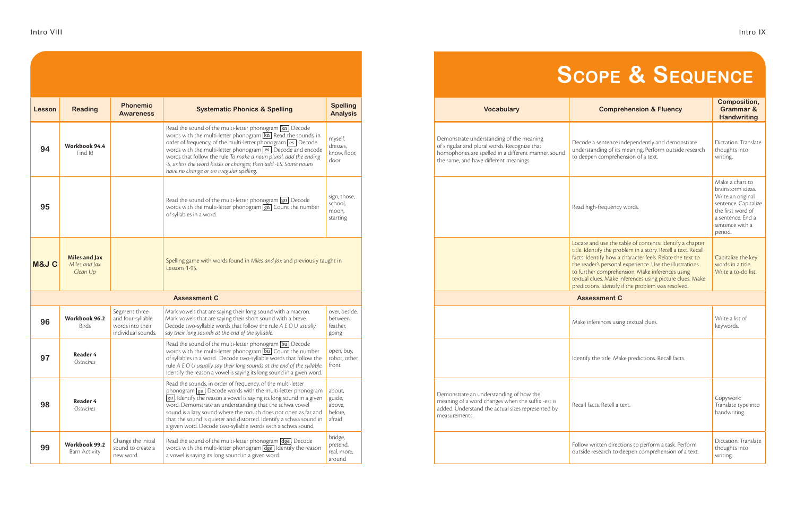| Lesson | <b>Reading</b>                                    | <b>Phonemic</b><br><b>Awareness</b>                                           | <b>Systematic Phonics &amp; Spelling</b>                                                                                                                                                                                                                                                                                                                                                                                                                                                            | <b>Spelling</b><br><b>Analysis</b>              |
|--------|---------------------------------------------------|-------------------------------------------------------------------------------|-----------------------------------------------------------------------------------------------------------------------------------------------------------------------------------------------------------------------------------------------------------------------------------------------------------------------------------------------------------------------------------------------------------------------------------------------------------------------------------------------------|-------------------------------------------------|
| 94     | Workbook 94.4<br>Find It!                         |                                                                               | Read the sound of the multi-letter phonogram [kn]. Decode<br>words with the multi-letter phonogram $\overline{\text{kn}}$ . Read the sounds, in<br>order of frequency, of the multi-letter phonogram es. Decode<br>words with the multi-letter phonogram es. Decode and encode<br>words that follow the rule To make a noun plural, add the ending<br>-S, unless the word hisses or changes; then add -ES. Some nouns<br>have no change or an irregular spelling.                                   | myself,<br>dresses,<br>know, floor,<br>door     |
| 95     |                                                   |                                                                               | Read the sound of the multi-letter phonogram $\boxed{gn}$ . Decode<br>words with the multi-letter phonogram $\boxed{gn}$ . Count the number<br>of syllables in a word.                                                                                                                                                                                                                                                                                                                              | sign, those,<br>school,<br>moon,<br>starting    |
| M&J C  | <b>Miles and Jax</b><br>Miles and Jax<br>Clean Up |                                                                               | Spelling game with words found in Miles and Jax and previously taught in<br>Lessons 1-95.                                                                                                                                                                                                                                                                                                                                                                                                           |                                                 |
|        |                                                   |                                                                               | <b>Assessment C</b>                                                                                                                                                                                                                                                                                                                                                                                                                                                                                 |                                                 |
| 96     | Workbook 96.2<br><b>Birds</b>                     | Segment three-<br>and four-syllable<br>words into their<br>individual sounds. | Mark vowels that are saying their long sound with a macron.<br>Mark vowels that are saying their short sound with a breve.<br>Decode two-syllable words that follow the rule A E O U usually<br>say their long sounds at the end of the syllable.                                                                                                                                                                                                                                                   | over, beside,<br>between.<br>feather,<br>going  |
| 97     | Reader 4<br>Ostriches                             |                                                                               | Read the sound of the multi-letter phonogram bu. Decode<br>words with the multi-letter phonogram [bu]. Count the number<br>of syllables in a word. Decode two-syllable words that follow the<br>rule A E O U usually say their long sounds at the end of the syllable.<br>Identify the reason a vowel is saying its long sound in a given word.                                                                                                                                                     | open, buy,<br>robot, other,<br>front            |
| 98     | <b>Reader 4</b><br>Ostriches                      |                                                                               | Read the sounds, in order of frequency, of the multi-letter<br>phonogram <u>gu</u> . Decode words with the multi-letter phonogram<br>$\left  \text{gu} \right $ . Identify the reason a vowel is saying its long sound in a given<br>word. Demonstrate an understanding that the schwa vowel<br>sound is a lazy sound where the mouth does not open as far and<br>that the sound is quieter and distorted. Identify a schwa sound in<br>a given word. Decode two-syllable words with a schwa sound. | about,<br>guide,<br>above,<br>before,<br>afraid |
| 99     | Workbook 99.2<br>Barn Activity                    | Change the initial<br>sound to create a<br>new word.                          | Read the sound of the multi-letter phonogram dge. Decode<br>words with the multi-letter phonogram $\sqrt{dge}$ . Identify the reason<br>a vowel is saying its long sound in a given word.                                                                                                                                                                                                                                                                                                           | bridge,<br>pretend,<br>real, more,<br>around    |

| <b>Spelling</b><br><b>Systematic Phonics &amp; Spelling</b><br><b>Analysis</b>                                                                                                                                                                                                                                                                                                                                                                                                |                                                 |  | <b>Vocabulary</b>                                                                                                                                                                         | <b>Comprehension &amp; Fluency</b>                                                                                                                                                                                                                                                                                                                                                                                     | <b>Composition,</b><br><b>Grammar &amp;</b><br><b>Handwriting</b>                                                                                         |
|-------------------------------------------------------------------------------------------------------------------------------------------------------------------------------------------------------------------------------------------------------------------------------------------------------------------------------------------------------------------------------------------------------------------------------------------------------------------------------|-------------------------------------------------|--|-------------------------------------------------------------------------------------------------------------------------------------------------------------------------------------------|------------------------------------------------------------------------------------------------------------------------------------------------------------------------------------------------------------------------------------------------------------------------------------------------------------------------------------------------------------------------------------------------------------------------|-----------------------------------------------------------------------------------------------------------------------------------------------------------|
| ad the sound of the multi-letter phonogram $\boxed{\text{kn}}$ . Decode<br>rds with the multi-letter phonogram [kn] Read the sounds, in<br>ler of frequency, of the multi-letter phonogram $\overline{\text{es}}$ Decode<br>rds with the multi-letter phonogram es. Decode and encode<br>rds that follow the rule To make a noun plural, add the ending<br>unless the word hisses or changes; then add -ES. Some nouns<br>e no change or an irregular spelling.               | myself,<br>dresses,<br>know, floor,<br>door     |  | Demonstrate understanding of the meaning<br>of singular and plural words. Recognize that<br>homophones are spelled in a different manner, sound<br>the same, and have different meanings. | Decode a sentence independently and demonstrate<br>understanding of its meaning. Perform outside research<br>to deepen comprehension of a text.                                                                                                                                                                                                                                                                        | Dictation: Translate<br>thoughts into<br>writing.                                                                                                         |
| ad the sound of the multi-letter phonogram <b>gn.</b> Decode<br>rds with the multi-letter phonogram $\boxed{gn}$ . Count the number<br>syllables in a word.                                                                                                                                                                                                                                                                                                                   | sign, those,<br>school,<br>moon,<br>starting    |  |                                                                                                                                                                                           | Read high-frequency words.                                                                                                                                                                                                                                                                                                                                                                                             | Make a chart to<br>brainstorm ideas.<br>Write an original<br>sentence. Capitalize<br>the first word of<br>a sentence. End a<br>sentence with a<br>period. |
| elling game with words found in Miles and Jax and previously taught in<br>sons 1-95.                                                                                                                                                                                                                                                                                                                                                                                          |                                                 |  |                                                                                                                                                                                           | Locate and use the table of contents. Identify a chapter<br>title. Identify the problem in a story. Retell a text. Recall<br>facts. Identify how a character feels. Relate the text to<br>the reader's personal experience. Use the illustrations<br>to further comprehension. Make inferences using<br>textual clues. Make inferences using picture clues. Make<br>predictions. Identify if the problem was resolved. | Capitalize the key<br>words in a title.<br>Write a to-do list.                                                                                            |
| <b>Assessment C</b>                                                                                                                                                                                                                                                                                                                                                                                                                                                           |                                                 |  |                                                                                                                                                                                           | <b>Assessment C</b>                                                                                                                                                                                                                                                                                                                                                                                                    |                                                                                                                                                           |
| rk vowels that are saying their long sound with a macron.<br>rk vowels that are saying their short sound with a breve.<br>code two-syllable words that follow the rule $A E O U$ usually<br>their long sounds at the end of the syllable.                                                                                                                                                                                                                                     | over, beside,<br>between,<br>feather,<br>going  |  |                                                                                                                                                                                           | Make inferences using textual clues.                                                                                                                                                                                                                                                                                                                                                                                   | Write a list of<br>keywords.                                                                                                                              |
| ad the sound of the multi-letter phonogram <b>bu</b> . Decode<br>rds with the multi-letter phonogram bu. Count the number<br>syllables in a word. Decode two-syllable words that follow the<br>A E O U usually say their long sounds at the end of the syllable.<br>ntify the reason a vowel is saying its long sound in a given word.                                                                                                                                        | open, buy,<br>robot, other,<br>front            |  |                                                                                                                                                                                           | Identify the title. Make predictions. Recall facts.                                                                                                                                                                                                                                                                                                                                                                    |                                                                                                                                                           |
| ad the sounds, in order of frequency, of the multi-letter<br>$\frac{1}{2}$ onogram $\frac{1}{8}$ u. Decode words with the multi-letter phonogram<br>I Identify the reason a vowel is saying its long sound in a given<br>rd. Demonstrate an understanding that the schwa vowel<br>and is a lazy sound where the mouth does not open as far and<br>t the sound is quieter and distorted. Identify a schwa sound in<br>iven word. Decode two-syllable words with a schwa sound. | about,<br>guide,<br>above,<br>before,<br>afraid |  | Demonstrate an understanding of how the<br>meaning of a word changes when the suffix-est is<br>added. Understand the actual sizes represented by<br>measurements.                         | Recall facts. Retell a text.                                                                                                                                                                                                                                                                                                                                                                                           | Copywork:<br>Translate type into<br>handwriting.                                                                                                          |
| ad the sound of the multi-letter phonogram dge. Decode<br>rds with the multi-letter phonogram dge. Identify the reason<br>owel is saying its long sound in a given word.                                                                                                                                                                                                                                                                                                      | bridge,<br>pretend,<br>real, more,<br>around    |  |                                                                                                                                                                                           | Follow written directions to perform a task. Perform<br>outside research to deepen comprehension of a text.                                                                                                                                                                                                                                                                                                            | Dictation: Translate<br>thoughts into<br>writing.                                                                                                         |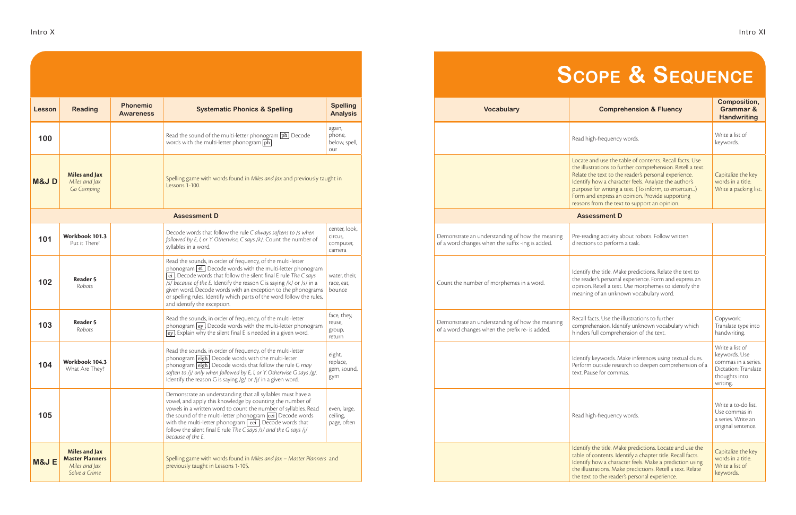| Lesson          | <b>Reading</b>                                                                   | <b>Phonemic</b><br><b>Awareness</b> | <b>Systematic Phonics &amp; Spelling</b>                                                                                                                                                                                                                                                                                                                                                                                                      | <b>Spelling</b><br><b>Analysis</b>              |
|-----------------|----------------------------------------------------------------------------------|-------------------------------------|-----------------------------------------------------------------------------------------------------------------------------------------------------------------------------------------------------------------------------------------------------------------------------------------------------------------------------------------------------------------------------------------------------------------------------------------------|-------------------------------------------------|
| 100             |                                                                                  |                                     | Read the sound of the multi-letter phonogram $\boxed{ph}$ . Decode<br>words with the multi-letter phonogram $\boxed{\text{ph}}$ .                                                                                                                                                                                                                                                                                                             | again,<br>phone,<br>below, spell,<br>our        |
| <b>M&amp;JD</b> | <b>Miles and Jax</b><br>Miles and Jax<br>Go Camping                              |                                     | Spelling game with words found in Miles and Jax and previously taught in<br>Lessons 1-100.                                                                                                                                                                                                                                                                                                                                                    |                                                 |
|                 |                                                                                  |                                     | <b>Assessment D</b>                                                                                                                                                                                                                                                                                                                                                                                                                           |                                                 |
| 101             | Workbook 101.3<br>Put it There!                                                  |                                     | Decode words that follow the rule C always softens to /s when<br>followed by E, I, or Y. Otherwise, C says /k/. Count the number of<br>syllables in a word.                                                                                                                                                                                                                                                                                   | center, look,<br>circus,<br>computer,<br>camera |
| 102             | <b>Reader 5</b><br>Robots                                                        |                                     | Read the sounds, in order of frequency, of the multi-letter<br>phonogram ei. Decode words with the multi-letter phonogram<br>ei. Decode words that follow the silent final E rule The C says<br>/s/ because of the E. Identify the reason C is saying /k/ or /s/ in a<br>given word. Decode words with an exception to the phonograms<br>or spelling rules. Identify which parts of the word follow the rules,<br>and identify the exception. | water, their,<br>race, eat,<br>bounce           |
| 103             | <b>Reader 5</b><br>Robots                                                        |                                     | Read the sounds, in order of frequency, of the multi-letter<br>phonogram ey. Decode words with the multi-letter phonogram<br>ey. Explain why the silent final E is needed in a given word.                                                                                                                                                                                                                                                    | face, they,<br>reuse,<br>group,<br>return       |
| 104             | Workbook 104.3<br>What Are They?                                                 |                                     | Read the sounds, in order of frequency, of the multi-letter<br>phonogram eigh. Decode words with the multi-letter<br>phonogram $\boxed{\text{eigh}}$ . Decode words that follow the rule G may<br>soften to /j/ only when followed by E, I, or Y. Otherwise G says /g/.<br>Identify the reason G is saying $/g/$ or /j/ in a given word.                                                                                                      | eight,<br>replace,<br>gem, sound,<br>gym        |
| 105             |                                                                                  |                                     | Demonstrate an understanding that all syllables must have a<br>vowel, and apply this knowledge by counting the number of<br>vowels in a written word to count the number of syllables. Read<br>the sound of the multi-letter phonogram cei. Decode words<br>with the multi-letter phonogram cei . Decode words that<br>follow the silent final E rule The C says /s/ and the G says /j/<br>because of the E.                                  | even, large,<br>ceiling,<br>page, often         |
| <b>M&amp;JE</b> | <b>Miles and Jax</b><br><b>Master Planners</b><br>Miles and Jax<br>Solve a Crime |                                     | Spelling game with words found in Miles and Jax - Master Planners and<br>previously taught in Lessons 1-105.                                                                                                                                                                                                                                                                                                                                  |                                                 |

| <b>Systematic Phonics &amp; Spelling</b>                                                                                                                                                                                                                                                                                                                                         | <b>Spelling</b><br><b>Analysis</b>              |                                                                                                     | Vocabulary | <b>Comprehension &amp; Fluency</b>                                                                                                                                                                                                                                                                                                                                                                | <b>Composition,</b><br><b>Grammar &amp;</b><br><b>Handwriting</b>                                            |
|----------------------------------------------------------------------------------------------------------------------------------------------------------------------------------------------------------------------------------------------------------------------------------------------------------------------------------------------------------------------------------|-------------------------------------------------|-----------------------------------------------------------------------------------------------------|------------|---------------------------------------------------------------------------------------------------------------------------------------------------------------------------------------------------------------------------------------------------------------------------------------------------------------------------------------------------------------------------------------------------|--------------------------------------------------------------------------------------------------------------|
| ad the sound of the multi-letter phonogram <b>ph</b> . Decode<br>rds with the multi-letter phonogram $\boxed{\text{ph}}$                                                                                                                                                                                                                                                         | again,<br>phone,<br>below, spell,<br>our        |                                                                                                     |            | Read high-frequency words.                                                                                                                                                                                                                                                                                                                                                                        | Write a list of<br>keywords.                                                                                 |
| elling game with words found in Miles and Jax and previously taught in                                                                                                                                                                                                                                                                                                           |                                                 |                                                                                                     |            | Locate and use the table of contents. Recall facts. Use<br>the illustrations to further comprehension. Retell a text.<br>Relate the text to the reader's personal experience.<br>Identify how a character feels. Analyze the author's<br>purpose for writing a text. (To inform, to entertain)<br>Form and express an opinion. Provide supporting<br>reasons from the text to support an opinion. | Capitalize the key<br>words in a title.<br>Write a packing list.                                             |
|                                                                                                                                                                                                                                                                                                                                                                                  |                                                 |                                                                                                     |            | <b>Assessment D</b>                                                                                                                                                                                                                                                                                                                                                                               |                                                                                                              |
| code words that follow the rule C always softens to /s when<br>owed by E, I, or Y. Otherwise, C says /k/. Count the number of                                                                                                                                                                                                                                                    | center, look,<br>circus,<br>computer,<br>camera | Demonstrate an understanding of how the meaning<br>of a word changes when the suffix -ing is added. |            | Pre-reading activity about robots. Follow written<br>directions to perform a task.                                                                                                                                                                                                                                                                                                                |                                                                                                              |
|                                                                                                                                                                                                                                                                                                                                                                                  | water, their,<br>race, eat,<br>bounce           | Count the number of morphemes in a word.                                                            |            | Identify the title. Make predictions. Relate the text to<br>the reader's personal experience. Form and express an<br>opinion. Retell a text. Use morphemes to identify the<br>meaning of an unknown vocabulary word.                                                                                                                                                                              |                                                                                                              |
| $\frac{1}{2}$ onogram $\boxed{\mathrm{ey}}$ . Decode words with the multi-letter phonogram<br>. Explain why the silent final E is needed in a given word.                                                                                                                                                                                                                        | face, they,<br>reuse,<br>group,<br>return       | Demonstrate an understanding of how the meaning<br>of a word changes when the prefix re- is added.  |            | Recall facts. Use the illustrations to further<br>comprehension. Identify unknown vocabulary which<br>hinders full comprehension of the text.                                                                                                                                                                                                                                                     | Copywork:<br>Translate type into<br>handwriting.                                                             |
| ad the sounds, in order of frequency, of the multi-letter<br>onogram eigh. Decode words that follow the rule G may<br>ten to /j/ only when followed by E, I, or Y. Otherwise G says /g/.                                                                                                                                                                                         | eight,<br>replace,<br>gem, sound,<br>gym        |                                                                                                     |            | Identify keywords. Make inferences using textual clues.<br>Perform outside research to deepen comprehension of a<br>text. Pause for commas.                                                                                                                                                                                                                                                       | Write a list of<br>keywords. Use<br>commas in a series.<br>Dictation: Translate<br>thoughts into<br>writing. |
| monstrate an understanding that all syllables must have a<br>wel, and apply this knowledge by counting the number of<br>wels in a written word to count the number of syllables. Read<br>sound of the multi-letter phonogram ceil. Decode words<br>h the multi-letter phonogram $\sqrt{cei}$ . Decode words that<br>ow the silent final E rule The C says /s/ and the G says /j/ | even, large,<br>ceiling,<br>page, often         |                                                                                                     |            | Read high-frequency words.                                                                                                                                                                                                                                                                                                                                                                        | Write a to-do list.<br>Use commas in<br>a series. Write an<br>original sentence.                             |
| elling game with words found in Miles and Jax - Master Planners and                                                                                                                                                                                                                                                                                                              |                                                 |                                                                                                     |            | Identify the title. Make predictions. Locate and use the<br>table of contents. Identify a chapter title. Recall facts.<br>Identify how a character feels. Make a prediction using<br>the illustrations. Make predictions. Retell a text. Relate<br>the text to the reader's personal experience.                                                                                                  | Capitalize the key<br>words in a title.<br>Write a list of<br>keywords.                                      |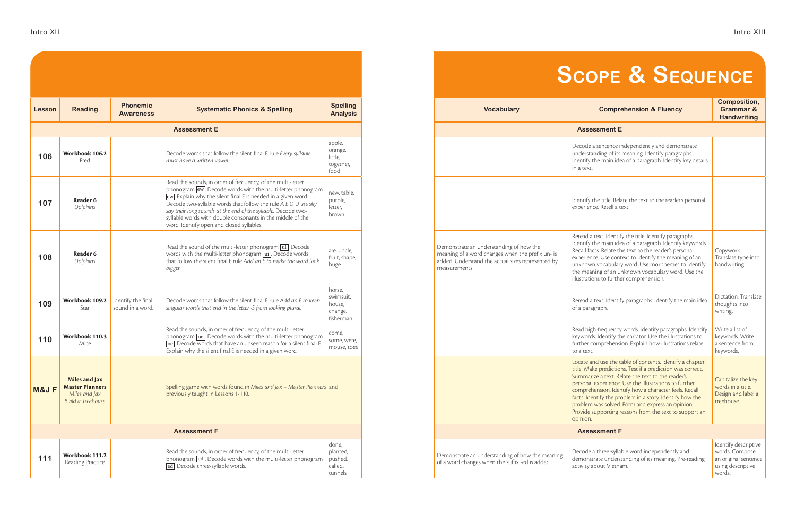| Lesson              | <b>Reading</b>                                                                              | <b>Phonemic</b><br><b>Awareness</b>    | <b>Systematic Phonics &amp; Spelling</b>                                                                                                                                                                                                                                                                                                                                                                                                 | <b>Spelling</b><br><b>Analysis</b>                    |  |  |  |
|---------------------|---------------------------------------------------------------------------------------------|----------------------------------------|------------------------------------------------------------------------------------------------------------------------------------------------------------------------------------------------------------------------------------------------------------------------------------------------------------------------------------------------------------------------------------------------------------------------------------------|-------------------------------------------------------|--|--|--|
| <b>Assessment E</b> |                                                                                             |                                        |                                                                                                                                                                                                                                                                                                                                                                                                                                          |                                                       |  |  |  |
| 106                 | Workbook 106.2<br>Fred                                                                      |                                        | Decode words that follow the silent final E rule Every syllable<br>must have a written vowel.                                                                                                                                                                                                                                                                                                                                            | apple,<br>orange,<br>little,<br>together,<br>food     |  |  |  |
| 107                 | Reader 6<br>Dolphins                                                                        |                                        | Read the sounds, in order of frequency, of the multi-letter<br>phonogram ew. Decode words with the multi-letter phonogram<br>ew. Explain why the silent final E is needed in a given word.<br>Decode two-syllable words that follow the rule A E O U usually<br>say their long sounds at the end of the syllable. Decode two-<br>syllable words with double consonants in the middle of the<br>word. Identify open and closed syllables. | new, table,<br>purple,<br>letter,<br>brown            |  |  |  |
| 108                 | Reader 6<br>Dolphins                                                                        |                                        | Read the sound of the multi-letter phonogram ui. Decode<br>words with the multi-letter phonogram $\overline{u}$ . Decode words<br>that follow the silent final E rule Add an E to make the word look<br>bigger.                                                                                                                                                                                                                          | are, uncle,<br>fruit, shape,<br>huge                  |  |  |  |
| 109                 | Workbook 109.2<br>Star                                                                      | Identify the final<br>sound in a word. | Decode words that follow the silent final E rule Add an E to keep<br>singular words that end in the letter -S from looking plural.                                                                                                                                                                                                                                                                                                       | horse,<br>swimsuit,<br>house,<br>change,<br>fisherman |  |  |  |
| 110                 | Workbook 110.3<br>Mice                                                                      |                                        | Read the sounds, in order of frequency, of the multi-letter<br>phonogram oe. Decode words with the multi-letter phonogram<br>oe. Decode words that have an unseen reason for a silent final E.<br>Explain why the silent final E is needed in a given word.                                                                                                                                                                              | come,<br>some, were,<br>mouse, toes                   |  |  |  |
| M&J F               | <b>Miles and Jax</b><br><b>Master Planners</b><br>Miles and Jax<br><b>Build a Treehouse</b> |                                        | Spelling game with words found in Miles and Jax - Master Planners and<br>previously taught in Lessons 1-110.                                                                                                                                                                                                                                                                                                                             |                                                       |  |  |  |
|                     |                                                                                             |                                        | <b>Assessment F</b>                                                                                                                                                                                                                                                                                                                                                                                                                      |                                                       |  |  |  |
| 111                 | Workbook 111.2<br>Reading Practice                                                          |                                        | Read the sounds, in order of frequency, of the multi-letter<br>phonogram ed. Decode words with the multi-letter phonogram<br>ed. Decode three-syllable words.                                                                                                                                                                                                                                                                            | done,<br>planted,<br>pushed,<br>called,<br>tunnels    |  |  |  |

| <b>Spelling</b><br><b>Systematic Phonics &amp; Spelling</b><br><b>Analysis</b>                                                                                                                                                                                                                                                                                                                                         |                                                       | <b>Vocabulary</b>                                                                                                                                                 | <b>Comprehension &amp; Fluency</b>                                                                                                                                                                                                                                                                                                                                                                                                                                                  | <b>Composition,</b><br><b>Grammar &amp;</b><br><b>Handwriting</b>                             |  |  |
|------------------------------------------------------------------------------------------------------------------------------------------------------------------------------------------------------------------------------------------------------------------------------------------------------------------------------------------------------------------------------------------------------------------------|-------------------------------------------------------|-------------------------------------------------------------------------------------------------------------------------------------------------------------------|-------------------------------------------------------------------------------------------------------------------------------------------------------------------------------------------------------------------------------------------------------------------------------------------------------------------------------------------------------------------------------------------------------------------------------------------------------------------------------------|-----------------------------------------------------------------------------------------------|--|--|
| <b>Assessment E</b>                                                                                                                                                                                                                                                                                                                                                                                                    |                                                       |                                                                                                                                                                   | <b>Assessment E</b>                                                                                                                                                                                                                                                                                                                                                                                                                                                                 |                                                                                               |  |  |
| code words that follow the silent final E rule Every syllable<br>st have a written vowel.                                                                                                                                                                                                                                                                                                                              | apple,<br>orange,<br>little,<br>together,<br>food     |                                                                                                                                                                   | Decode a sentence independently and demonstrate<br>understanding of its meaning. Identify paragraphs.<br>Identify the main idea of a paragraph. Identify key details<br>in a text.                                                                                                                                                                                                                                                                                                  |                                                                                               |  |  |
| ad the sounds, in order of frequency, of the multi-letter<br>onogram ew. Decode words with the multi-letter phonogram<br>Explain why the silent final E is needed in a given word.<br>code two-syllable words that follow the rule $A E O U$ usually<br>their long sounds at the end of the syllable. Decode two-<br>able words with double consonants in the middle of the<br>rd. Identify open and closed syllables. | new, table,<br>purple,<br>letter,<br>brown            |                                                                                                                                                                   | Identify the title. Relate the text to the reader's personal<br>experience. Retell a text.                                                                                                                                                                                                                                                                                                                                                                                          |                                                                                               |  |  |
| ad the sound of the multi-letter phonogram ui Decode<br>rds with the multi-letter phonogram $\overline{\mathbf{u}}$ . Decode words<br>t follow the silent final E rule Add an E to make the word look                                                                                                                                                                                                                  | are, uncle,<br>fruit, shape,<br>huge                  | Demonstrate an understanding of how the<br>meaning of a word changes when the prefix un- is<br>added. Understand the actual sizes represented by<br>measurements. | Reread a text. Identify the title. Identify paragraphs.<br>Identify the main idea of a paragraph. Identify keywords.<br>Recall facts. Relate the text to the reader's personal<br>experience. Use context to identify the meaning of an<br>unknown vocabulary word. Use morphemes to identify<br>the meaning of an unknown vocabulary word. Use the<br>illustrations to further comprehension.                                                                                      | Copywork:<br>Translate type into<br>handwriting.                                              |  |  |
| code words that follow the silent final E rule Add an E to keep<br>gular words that end in the letter -S from looking plural.                                                                                                                                                                                                                                                                                          | horse,<br>swimsuit,<br>house,<br>change,<br>fisherman |                                                                                                                                                                   | Reread a text. Identify paragraphs. Identify the main idea<br>of a paragraph.                                                                                                                                                                                                                                                                                                                                                                                                       | Dictation: Translate<br>thoughts into<br>writing.                                             |  |  |
| ad the sounds, in order of frequency, of the multi-letter<br>onogram <b>oe</b> Decode words with the multi-letter phonogram<br>.<br>I Decode words that have an unseen reason for a silent final E.<br>plain why the silent final E is needed in a given word.                                                                                                                                                         | come,<br>some, were,<br>mouse, toes                   |                                                                                                                                                                   | Read high-frequency words. Identify paragraphs. Identify<br>keywords. Identify the narrator. Use the illustrations to<br>further comprehension. Explain how illustrations relate<br>to a text.                                                                                                                                                                                                                                                                                      | Write a list of<br>keywords. Write<br>a sentence from<br>keywords.                            |  |  |
| elling game with words found in Miles and Jax - Master Planners and<br>viously taught in Lessons 1-110.                                                                                                                                                                                                                                                                                                                |                                                       |                                                                                                                                                                   | Locate and use the table of contents. Identify a chapter<br>title. Make predictions. Test if a prediction was correct.<br>Summarize a text. Relate the text to the reader's<br>personal experience. Use the illustrations to further<br>comprehension. Identify how a character feels. Recall<br>facts. Identify the problem in a story. Identify how the<br>problem was solved. Form and express an opinion.<br>Provide supporting reasons from the text to support an<br>opinion. | Capitalize the key<br>words in a title.<br>Design and label a<br>treehouse.                   |  |  |
| <b>Assessment F</b>                                                                                                                                                                                                                                                                                                                                                                                                    |                                                       |                                                                                                                                                                   | <b>Assessment F</b>                                                                                                                                                                                                                                                                                                                                                                                                                                                                 |                                                                                               |  |  |
| ad the sounds, in order of frequency, of the multi-letter<br>onogram ed Decode words with the multi-letter phonogram<br>Decode three-syllable words.                                                                                                                                                                                                                                                                   | done,<br>planted,<br>pushed,<br>called,<br>tunnels    | Demonstrate an understanding of how the meaning<br>of a word changes when the suffix -ed is added.                                                                | Decode a three-syllable word independently and<br>demonstrate understanding of its meaning. Pre-reading<br>activity about Vietnam.                                                                                                                                                                                                                                                                                                                                                  | Identify descriptive<br>words. Compose<br>an original sentence<br>using descriptive<br>words. |  |  |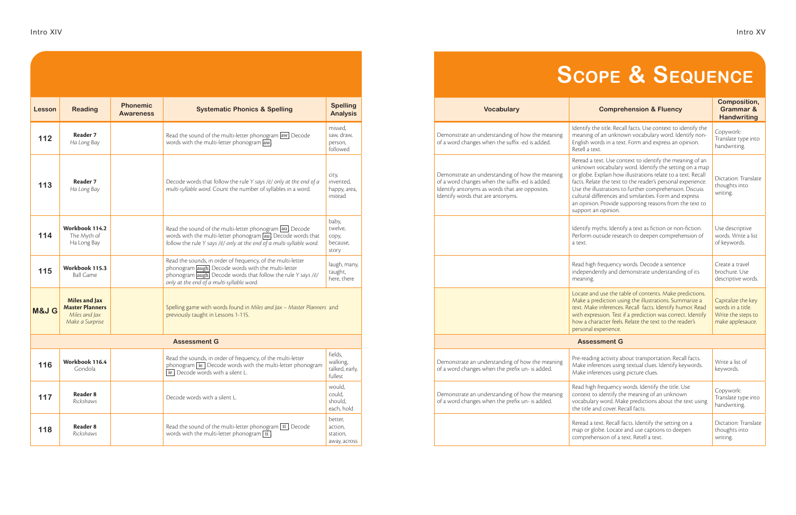| Lesson           | <b>Reading</b>                                                              | <b>Phonemic</b><br><b>Awareness</b> | <b>Systematic Phonics &amp; Spelling</b>                                                                                                                                                                                                          | <b>Spelling</b><br><b>Analysis</b>               |
|------------------|-----------------------------------------------------------------------------|-------------------------------------|---------------------------------------------------------------------------------------------------------------------------------------------------------------------------------------------------------------------------------------------------|--------------------------------------------------|
| 112              | Reader 7<br>Ha Long Bay                                                     |                                     | Read the sound of the multi-letter phonogram aw]. Decode<br>words with the multi-letter phonogram aw.                                                                                                                                             | missed,<br>saw, draw,<br>person,<br>followed     |
| 113              | Reader 7<br>Ha Long Bay                                                     |                                     | Decode words that follow the rule Y says /ē/ only at the end of a<br>multi-syllable word. Count the number of syllables in a word.                                                                                                                | city,<br>invented,<br>happy, area,<br>instead    |
| 114              | Workbook 114.2<br>The Myth of<br>Ha Long Bay                                |                                     | Read the sound of the multi-letter phonogram au. Decode<br>words with the multi-letter phonogram [au]. Decode words that<br>follow the rule Y says /ē/ only at the end of a multi-syllable word.                                                  | baby,<br>twelve,<br>copy,<br>because,<br>story   |
| 115              | Workbook 115.3<br><b>Ball Game</b>                                          |                                     | Read the sounds, in order of frequency, of the multi-letter<br>phonogram augh. Decode words with the multi-letter<br>phonogram $\alpha$ augh. Decode words that follow the rule Y says / $\bar{e}$ /<br>only at the end of a multi-syllable word. | laugh, many,<br>taught,<br>here, there           |
| <b>M&amp;J G</b> | Miles and Jax<br><b>Master Planners</b><br>Miles and Jax<br>Make a Surprise |                                     | Spelling game with words found in Miles and Jax - Master Planners and<br>previously taught in Lessons 1-115.                                                                                                                                      |                                                  |
|                  |                                                                             |                                     | <b>Assessment G</b>                                                                                                                                                                                                                               |                                                  |
| 116              | Workbook 116.4<br>Gondola                                                   |                                     | Read the sounds, in order of frequency, of the multi-letter<br>phonogram ie. Decode words with the multi-letter phonogram<br>ie. Decode words with a silent L.                                                                                    | fields,<br>walking,<br>talked, early,<br>fullest |
| 117              | Reader 8<br>Rickshaws                                                       |                                     | Decode words with a silent L.                                                                                                                                                                                                                     | would,<br>could,<br>should,<br>each, hold        |
| 118              | Reader 8<br>Rickshaws                                                       |                                     | Read the sound of the multi-letter phonogram $\boxed{\text{ti}}$ . Decode<br>words with the multi-letter phonogram $\boxed{\text{ti}}$ .                                                                                                          | better,<br>action,<br>station,<br>away, across   |

| <b>Spelling</b><br><b>Analysis</b>            | <b>Vocabulary</b>                                                                                                                                                                         | <b>Comprehension &amp; Fluency</b>                                                                                                                                                                                                                                                                                                                                                                                                                        | <b>Composition,</b><br><b>Grammar &amp;</b><br><b>Handwriting</b>                 |
|-----------------------------------------------|-------------------------------------------------------------------------------------------------------------------------------------------------------------------------------------------|-----------------------------------------------------------------------------------------------------------------------------------------------------------------------------------------------------------------------------------------------------------------------------------------------------------------------------------------------------------------------------------------------------------------------------------------------------------|-----------------------------------------------------------------------------------|
| nissed,<br>aw, draw,<br>person,<br>ollowed    | Demonstrate an understanding of how the meaning<br>of a word changes when the suffix -ed is added.                                                                                        | Identify the title. Recall facts. Use context to identify the<br>meaning of an unknown vocabulary word. Identify non-<br>English words in a text. Form and express an opinion.<br>Retell a text.                                                                                                                                                                                                                                                          | Copywork:<br>Translate type into<br>handwriting.                                  |
| :ity,<br>nvented,<br>appy, area,<br>nstead    | Demonstrate an understanding of how the meaning<br>of a word changes when the suffix -ed is added.<br>Identify antonyms as words that are opposites.<br>Identify words that are antonyms. | Reread a text. Use context to identify the meaning of an<br>unknown vocabulary word. Identify the setting on a map<br>or globe. Explain how illustrations relate to a text. Recall<br>facts. Relate the text to the reader's personal experience.<br>Use the illustrations to further comprehension. Discuss<br>cultural differences and similarities. Form and express<br>an opinion. Provide supporting reasons from the text to<br>support an opinion. | Dictation: Translate<br>thoughts into<br>writing.                                 |
| aby,<br>welve,<br>:ору,<br>pecause,<br>tory   |                                                                                                                                                                                           | Identify myths. Identify a text as fiction or non-fiction.<br>Perform outside research to deepen comprehension of<br>a text.                                                                                                                                                                                                                                                                                                                              | Use descriptive<br>words. Write a list<br>of keywords.                            |
| augh, many,<br>aught,<br>ere, there           |                                                                                                                                                                                           | Read high frequency words. Decode a sentence<br>independently and demonstrate understanding of its<br>meaning.                                                                                                                                                                                                                                                                                                                                            | Create a travel<br>brochure. Use<br>descriptive words.                            |
| and                                           |                                                                                                                                                                                           | Locate and use the table of contents. Make predictions.<br>Make a prediction using the illustrations. Summarize a<br>text. Make inferences. Recall facts. Identify humor. Read<br>with expression. Test if a prediction was correct. Identify<br>how a character feels. Relate the text to the reader's<br>personal experience.                                                                                                                           | Capitalize the key<br>words in a title.<br>Write the steps to<br>make applesauce. |
|                                               |                                                                                                                                                                                           | <b>Assessment G</b>                                                                                                                                                                                                                                                                                                                                                                                                                                       |                                                                                   |
| ields,<br>valking,<br>alked, early,<br>ullest | Demonstrate an understanding of how the meaning<br>of a word changes when the prefix un- is added.                                                                                        | Pre-reading activity about transportation. Recall facts.<br>Make inferences using textual clues. Identify keywords.<br>Make inferences using picture clues.                                                                                                                                                                                                                                                                                               | Write a list of<br>keywords.                                                      |
| vould,<br>:ould,<br>hould,<br>ach, hold       | Demonstrate an understanding of how the meaning<br>of a word changes when the prefix un- is added.                                                                                        | Read high frequency words. Identify the title. Use<br>context to identify the meaning of an unknown<br>vocabulary word. Make predictions about the text using<br>the title and cover. Recall facts.                                                                                                                                                                                                                                                       | Copywork:<br>Translate type into<br>handwriting.                                  |
| detter,<br>iction,<br>tation,<br>way, across  |                                                                                                                                                                                           | Reread a text. Recall facts. Identify the setting on a<br>map or globe. Locate and use captions to deepen<br>comprehension of a text. Retell a text.                                                                                                                                                                                                                                                                                                      | Dictation: Translate<br>thoughts into<br>writing.                                 |
|                                               |                                                                                                                                                                                           |                                                                                                                                                                                                                                                                                                                                                                                                                                                           |                                                                                   |